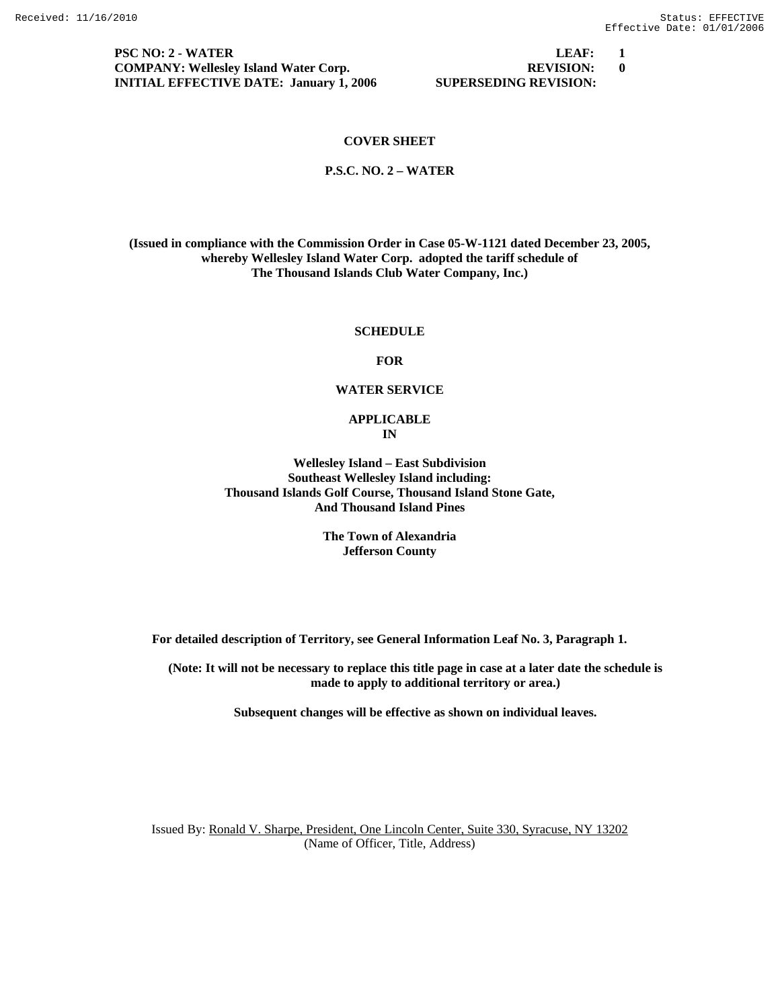**PSC NO: 2 - WATER LEAF:** 1 **COMPANY: Wellesley Island Water Corp. REVISION: 0 INITIAL EFFECTIVE DATE: January 1, 2006 SUPERSEDING REVISION:** 

#### **COVER SHEET**

#### **P.S.C. NO. 2 – WATER**

**(Issued in compliance with the Commission Order in Case 05-W-1121 dated December 23, 2005, whereby Wellesley Island Water Corp. adopted the tariff schedule of The Thousand Islands Club Water Company, Inc.)** 

#### **SCHEDULE**

#### **FOR**

#### **WATER SERVICE**

#### **APPLICABLE IN**

**Wellesley Island – East Subdivision Southeast Wellesley Island including: Thousand Islands Golf Course, Thousand Island Stone Gate, And Thousand Island Pines** 

> **The Town of Alexandria Jefferson County**

**For detailed description of Territory, see General Information Leaf No. 3, Paragraph 1.** 

**(Note: It will not be necessary to replace this title page in case at a later date the schedule is made to apply to additional territory or area.)** 

**Subsequent changes will be effective as shown on individual leaves.**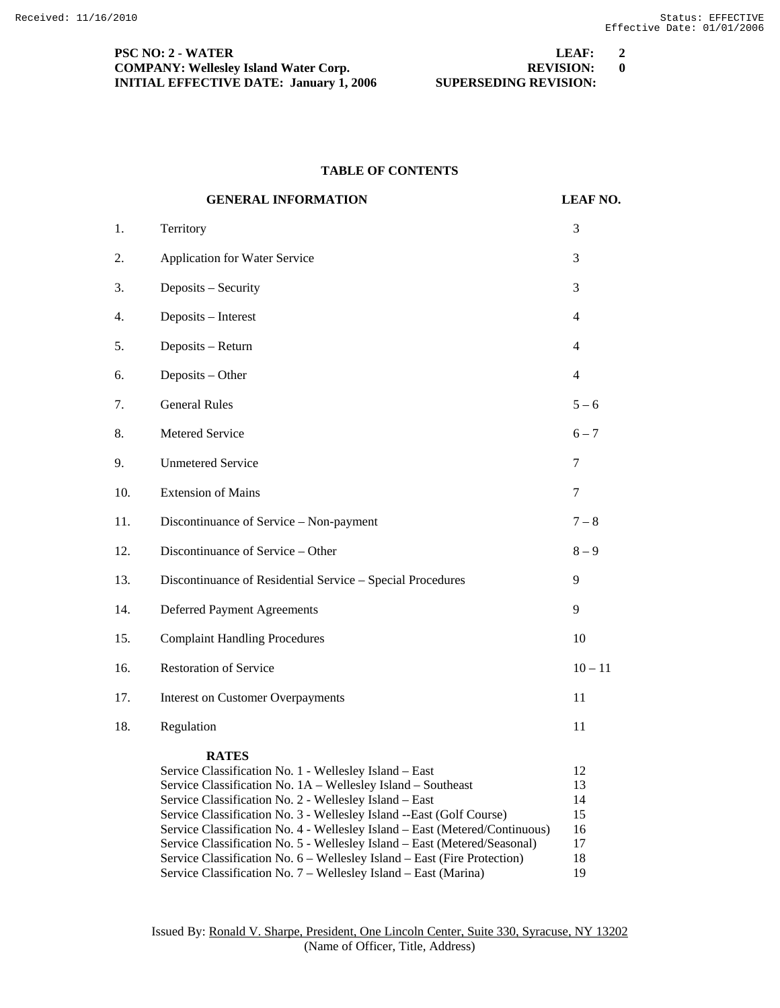| <b>PSC NO: 2 - WATER</b>                       | LEAF:                        | $\overline{2}$ |
|------------------------------------------------|------------------------------|----------------|
| <b>COMPANY: Wellesley Island Water Corp.</b>   | <b>REVISION:</b>             |                |
| <b>INITIAL EFFECTIVE DATE: January 1, 2006</b> | <b>SUPERSEDING REVISION:</b> |                |

# **TABLE OF CONTENTS**

|     | <b>GENERAL INFORMATION</b>                                                                                                                                                                                                                                                                                                                                                                                                                                                                                                                                                          | <b>LEAF NO.</b>                              |
|-----|-------------------------------------------------------------------------------------------------------------------------------------------------------------------------------------------------------------------------------------------------------------------------------------------------------------------------------------------------------------------------------------------------------------------------------------------------------------------------------------------------------------------------------------------------------------------------------------|----------------------------------------------|
| 1.  | Territory                                                                                                                                                                                                                                                                                                                                                                                                                                                                                                                                                                           | 3                                            |
| 2.  | Application for Water Service                                                                                                                                                                                                                                                                                                                                                                                                                                                                                                                                                       | 3                                            |
| 3.  | Deposits - Security                                                                                                                                                                                                                                                                                                                                                                                                                                                                                                                                                                 | 3                                            |
| 4.  | Deposits - Interest                                                                                                                                                                                                                                                                                                                                                                                                                                                                                                                                                                 | 4                                            |
| 5.  | Deposits - Return                                                                                                                                                                                                                                                                                                                                                                                                                                                                                                                                                                   | 4                                            |
| 6.  | Deposits - Other                                                                                                                                                                                                                                                                                                                                                                                                                                                                                                                                                                    | $\overline{4}$                               |
| 7.  | <b>General Rules</b>                                                                                                                                                                                                                                                                                                                                                                                                                                                                                                                                                                | $5 - 6$                                      |
| 8.  | Metered Service                                                                                                                                                                                                                                                                                                                                                                                                                                                                                                                                                                     | $6 - 7$                                      |
| 9.  | <b>Unmetered Service</b>                                                                                                                                                                                                                                                                                                                                                                                                                                                                                                                                                            | 7                                            |
| 10. | <b>Extension of Mains</b>                                                                                                                                                                                                                                                                                                                                                                                                                                                                                                                                                           | 7                                            |
| 11. | Discontinuance of Service - Non-payment                                                                                                                                                                                                                                                                                                                                                                                                                                                                                                                                             | $7 - 8$                                      |
| 12. | Discontinuance of Service - Other                                                                                                                                                                                                                                                                                                                                                                                                                                                                                                                                                   | $8-9$                                        |
| 13. | Discontinuance of Residential Service - Special Procedures                                                                                                                                                                                                                                                                                                                                                                                                                                                                                                                          | 9                                            |
| 14. | <b>Deferred Payment Agreements</b>                                                                                                                                                                                                                                                                                                                                                                                                                                                                                                                                                  | 9                                            |
| 15. | <b>Complaint Handling Procedures</b>                                                                                                                                                                                                                                                                                                                                                                                                                                                                                                                                                | 10                                           |
| 16. | <b>Restoration of Service</b>                                                                                                                                                                                                                                                                                                                                                                                                                                                                                                                                                       | $10 - 11$                                    |
| 17. | <b>Interest on Customer Overpayments</b>                                                                                                                                                                                                                                                                                                                                                                                                                                                                                                                                            | 11                                           |
| 18. | Regulation                                                                                                                                                                                                                                                                                                                                                                                                                                                                                                                                                                          | 11                                           |
|     | <b>RATES</b><br>Service Classification No. 1 - Wellesley Island - East<br>Service Classification No. 1A - Wellesley Island - Southeast<br>Service Classification No. 2 - Wellesley Island - East<br>Service Classification No. 3 - Wellesley Island --East (Golf Course)<br>Service Classification No. 4 - Wellesley Island - East (Metered/Continuous)<br>Service Classification No. 5 - Wellesley Island - East (Metered/Seasonal)<br>Service Classification No. 6 - Wellesley Island - East (Fire Protection)<br>Service Classification No. 7 - Wellesley Island - East (Marina) | 12<br>13<br>14<br>15<br>16<br>17<br>18<br>19 |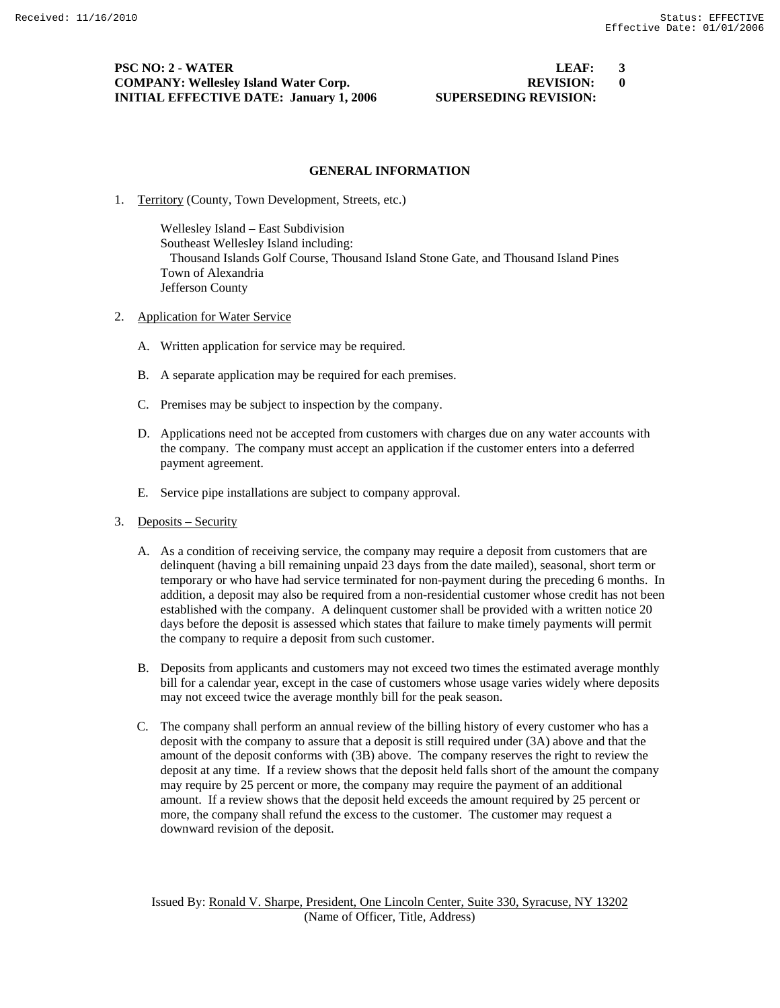**PSC NO: 2 - WATER LEAF:** 3 **COMPANY: Wellesley Island Water Corp. REVISION: 0 INITIAL EFFECTIVE DATE: January 1, 2006 SUPERSEDING REVISION:** 

#### **GENERAL INFORMATION**

1. Territory (County, Town Development, Streets, etc.)

 Wellesley Island – East Subdivision Southeast Wellesley Island including: Thousand Islands Golf Course, Thousand Island Stone Gate, and Thousand Island Pines Town of Alexandria Jefferson County

- 2. Application for Water Service
	- A. Written application for service may be required.
	- B. A separate application may be required for each premises.
	- C. Premises may be subject to inspection by the company.
	- D. Applications need not be accepted from customers with charges due on any water accounts with the company. The company must accept an application if the customer enters into a deferred payment agreement.
	- E. Service pipe installations are subject to company approval.
- 3. Deposits Security
	- A. As a condition of receiving service, the company may require a deposit from customers that are delinquent (having a bill remaining unpaid 23 days from the date mailed), seasonal, short term or temporary or who have had service terminated for non-payment during the preceding 6 months. In addition, a deposit may also be required from a non-residential customer whose credit has not been established with the company. A delinquent customer shall be provided with a written notice 20 days before the deposit is assessed which states that failure to make timely payments will permit the company to require a deposit from such customer.
	- B. Deposits from applicants and customers may not exceed two times the estimated average monthly bill for a calendar year, except in the case of customers whose usage varies widely where deposits may not exceed twice the average monthly bill for the peak season.
	- C. The company shall perform an annual review of the billing history of every customer who has a deposit with the company to assure that a deposit is still required under (3A) above and that the amount of the deposit conforms with (3B) above. The company reserves the right to review the deposit at any time. If a review shows that the deposit held falls short of the amount the company may require by 25 percent or more, the company may require the payment of an additional amount. If a review shows that the deposit held exceeds the amount required by 25 percent or more, the company shall refund the excess to the customer. The customer may request a downward revision of the deposit.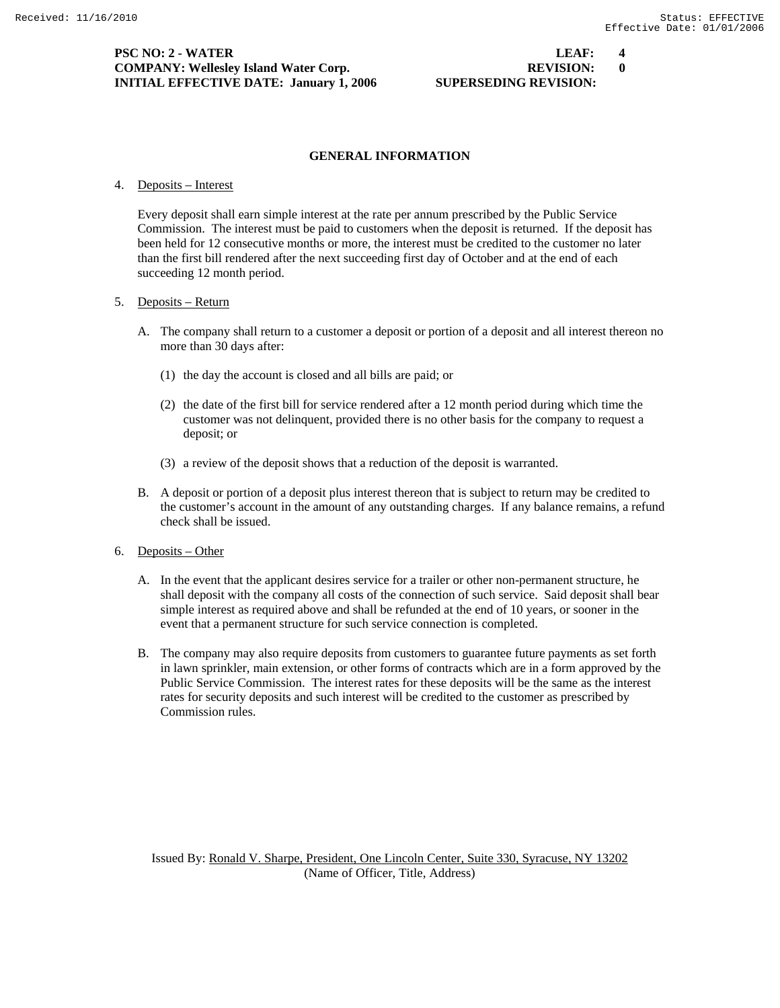**PSC NO: 2 - WATER LEAF: 4 COMPANY: Wellesley Island Water Corp. REVISION: 0 INITIAL EFFECTIVE DATE: January 1, 2006 SUPERSEDING REVISION:** 

#### **GENERAL INFORMATION**

#### 4. Deposits – Interest

 Every deposit shall earn simple interest at the rate per annum prescribed by the Public Service Commission. The interest must be paid to customers when the deposit is returned. If the deposit has been held for 12 consecutive months or more, the interest must be credited to the customer no later than the first bill rendered after the next succeeding first day of October and at the end of each succeeding 12 month period.

#### 5. Deposits – Return

- A. The company shall return to a customer a deposit or portion of a deposit and all interest thereon no more than 30 days after:
	- (1) the day the account is closed and all bills are paid; or
	- (2) the date of the first bill for service rendered after a 12 month period during which time the customer was not delinquent, provided there is no other basis for the company to request a deposit; or
	- (3) a review of the deposit shows that a reduction of the deposit is warranted.
- B. A deposit or portion of a deposit plus interest thereon that is subject to return may be credited to the customer's account in the amount of any outstanding charges. If any balance remains, a refund check shall be issued.
- 6. Deposits Other
	- A. In the event that the applicant desires service for a trailer or other non-permanent structure, he shall deposit with the company all costs of the connection of such service. Said deposit shall bear simple interest as required above and shall be refunded at the end of 10 years, or sooner in the event that a permanent structure for such service connection is completed.
	- B. The company may also require deposits from customers to guarantee future payments as set forth in lawn sprinkler, main extension, or other forms of contracts which are in a form approved by the Public Service Commission. The interest rates for these deposits will be the same as the interest rates for security deposits and such interest will be credited to the customer as prescribed by Commission rules.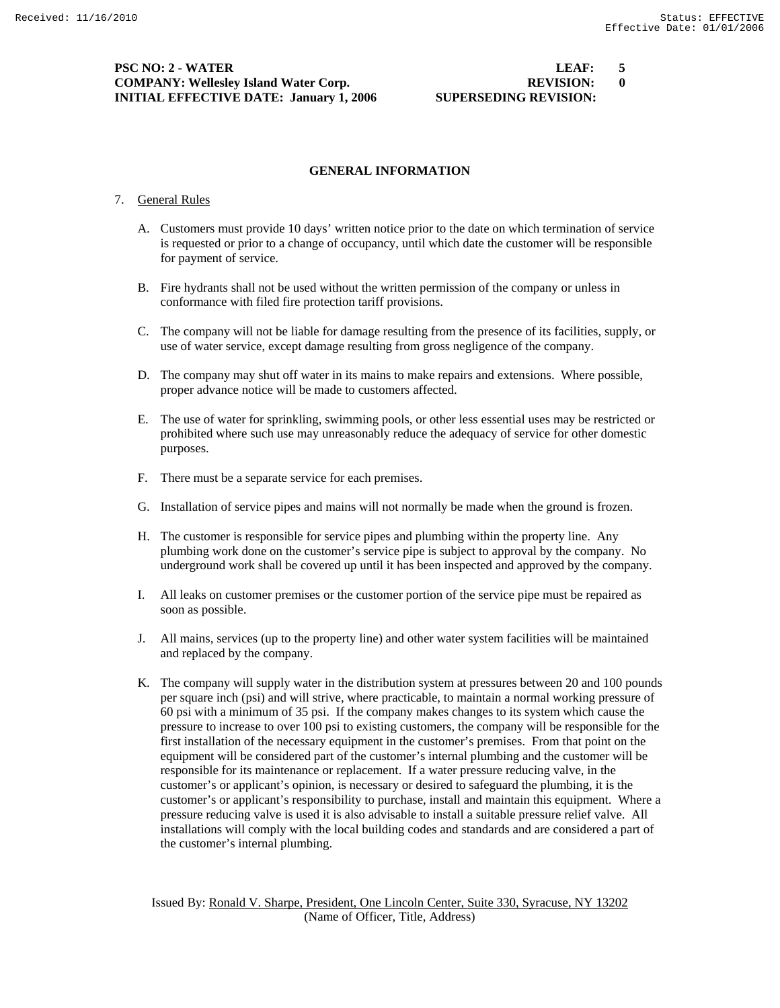**PSC NO: 2 - WATER LEAF: 5 COMPANY: Wellesley Island Water Corp. REVISION: 0 INITIAL EFFECTIVE DATE: January 1, 2006 SUPERSEDING REVISION:** 

#### **GENERAL INFORMATION**

## 7. General Rules

- A. Customers must provide 10 days' written notice prior to the date on which termination of service is requested or prior to a change of occupancy, until which date the customer will be responsible for payment of service.
- B. Fire hydrants shall not be used without the written permission of the company or unless in conformance with filed fire protection tariff provisions.
- C. The company will not be liable for damage resulting from the presence of its facilities, supply, or use of water service, except damage resulting from gross negligence of the company.
- D. The company may shut off water in its mains to make repairs and extensions. Where possible, proper advance notice will be made to customers affected.
- E. The use of water for sprinkling, swimming pools, or other less essential uses may be restricted or prohibited where such use may unreasonably reduce the adequacy of service for other domestic purposes.
- F. There must be a separate service for each premises.
- G. Installation of service pipes and mains will not normally be made when the ground is frozen.
- H. The customer is responsible for service pipes and plumbing within the property line. Any plumbing work done on the customer's service pipe is subject to approval by the company. No underground work shall be covered up until it has been inspected and approved by the company.
- I. All leaks on customer premises or the customer portion of the service pipe must be repaired as soon as possible.
- J. All mains, services (up to the property line) and other water system facilities will be maintained and replaced by the company.
- K. The company will supply water in the distribution system at pressures between 20 and 100 pounds per square inch (psi) and will strive, where practicable, to maintain a normal working pressure of 60 psi with a minimum of 35 psi. If the company makes changes to its system which cause the pressure to increase to over 100 psi to existing customers, the company will be responsible for the first installation of the necessary equipment in the customer's premises. From that point on the equipment will be considered part of the customer's internal plumbing and the customer will be responsible for its maintenance or replacement. If a water pressure reducing valve, in the customer's or applicant's opinion, is necessary or desired to safeguard the plumbing, it is the customer's or applicant's responsibility to purchase, install and maintain this equipment. Where a pressure reducing valve is used it is also advisable to install a suitable pressure relief valve. All installations will comply with the local building codes and standards and are considered a part of the customer's internal plumbing.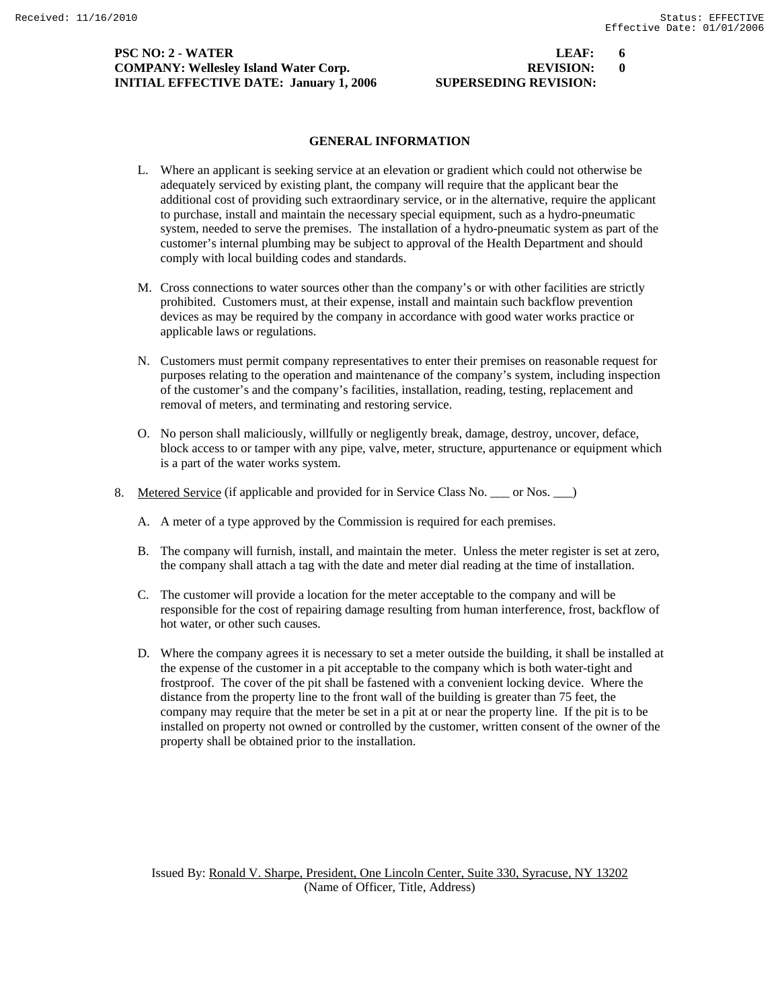### **PSC NO: 2 - WATER LEAF: 6 COMPANY: Wellesley Island Water Corp. REVISION: 0 INITIAL EFFECTIVE DATE: January 1, 2006 SUPERSEDING REVISION:**

### **GENERAL INFORMATION**

- L. Where an applicant is seeking service at an elevation or gradient which could not otherwise be adequately serviced by existing plant, the company will require that the applicant bear the additional cost of providing such extraordinary service, or in the alternative, require the applicant to purchase, install and maintain the necessary special equipment, such as a hydro-pneumatic system, needed to serve the premises. The installation of a hydro-pneumatic system as part of the customer's internal plumbing may be subject to approval of the Health Department and should comply with local building codes and standards.
- M. Cross connections to water sources other than the company's or with other facilities are strictly prohibited. Customers must, at their expense, install and maintain such backflow prevention devices as may be required by the company in accordance with good water works practice or applicable laws or regulations.
- N. Customers must permit company representatives to enter their premises on reasonable request for purposes relating to the operation and maintenance of the company's system, including inspection of the customer's and the company's facilities, installation, reading, testing, replacement and removal of meters, and terminating and restoring service.
- O. No person shall maliciously, willfully or negligently break, damage, destroy, uncover, deface, block access to or tamper with any pipe, valve, meter, structure, appurtenance or equipment which is a part of the water works system.
- 8. Metered Service (if applicable and provided for in Service Class No. \_\_\_ or Nos. \_\_ )
	- A. A meter of a type approved by the Commission is required for each premises.
	- B. The company will furnish, install, and maintain the meter. Unless the meter register is set at zero, the company shall attach a tag with the date and meter dial reading at the time of installation.
	- C. The customer will provide a location for the meter acceptable to the company and will be responsible for the cost of repairing damage resulting from human interference, frost, backflow of hot water, or other such causes.
	- D. Where the company agrees it is necessary to set a meter outside the building, it shall be installed at the expense of the customer in a pit acceptable to the company which is both water-tight and frostproof. The cover of the pit shall be fastened with a convenient locking device. Where the distance from the property line to the front wall of the building is greater than 75 feet, the company may require that the meter be set in a pit at or near the property line. If the pit is to be installed on property not owned or controlled by the customer, written consent of the owner of the property shall be obtained prior to the installation.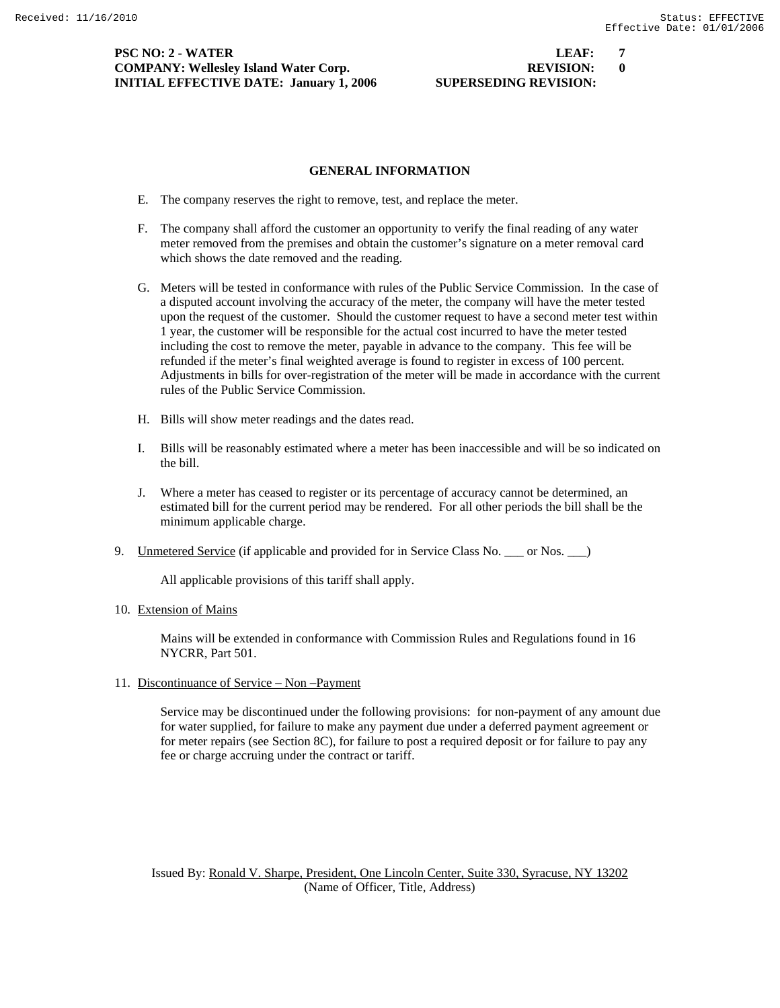**PSC NO: 2 - WATER LEAF: 7 COMPANY: Wellesley Island Water Corp. REVISION: 0 INITIAL EFFECTIVE DATE: January 1, 2006 SUPERSEDING REVISION:** 

# **GENERAL INFORMATION**

- E. The company reserves the right to remove, test, and replace the meter.
- F. The company shall afford the customer an opportunity to verify the final reading of any water meter removed from the premises and obtain the customer's signature on a meter removal card which shows the date removed and the reading.
- G. Meters will be tested in conformance with rules of the Public Service Commission. In the case of a disputed account involving the accuracy of the meter, the company will have the meter tested upon the request of the customer. Should the customer request to have a second meter test within 1 year, the customer will be responsible for the actual cost incurred to have the meter tested including the cost to remove the meter, payable in advance to the company. This fee will be refunded if the meter's final weighted average is found to register in excess of 100 percent. Adjustments in bills for over-registration of the meter will be made in accordance with the current rules of the Public Service Commission.
- H. Bills will show meter readings and the dates read.
- I. Bills will be reasonably estimated where a meter has been inaccessible and will be so indicated on the bill.
- J. Where a meter has ceased to register or its percentage of accuracy cannot be determined, an estimated bill for the current period may be rendered. For all other periods the bill shall be the minimum applicable charge.
- 9. Unmetered Service (if applicable and provided for in Service Class No. \_\_\_ or Nos. \_\_\_)

All applicable provisions of this tariff shall apply.

#### 10. Extension of Mains

 Mains will be extended in conformance with Commission Rules and Regulations found in 16 NYCRR, Part 501.

#### 11. Discontinuance of Service – Non –Payment

 Service may be discontinued under the following provisions: for non-payment of any amount due for water supplied, for failure to make any payment due under a deferred payment agreement or for meter repairs (see Section 8C), for failure to post a required deposit or for failure to pay any fee or charge accruing under the contract or tariff.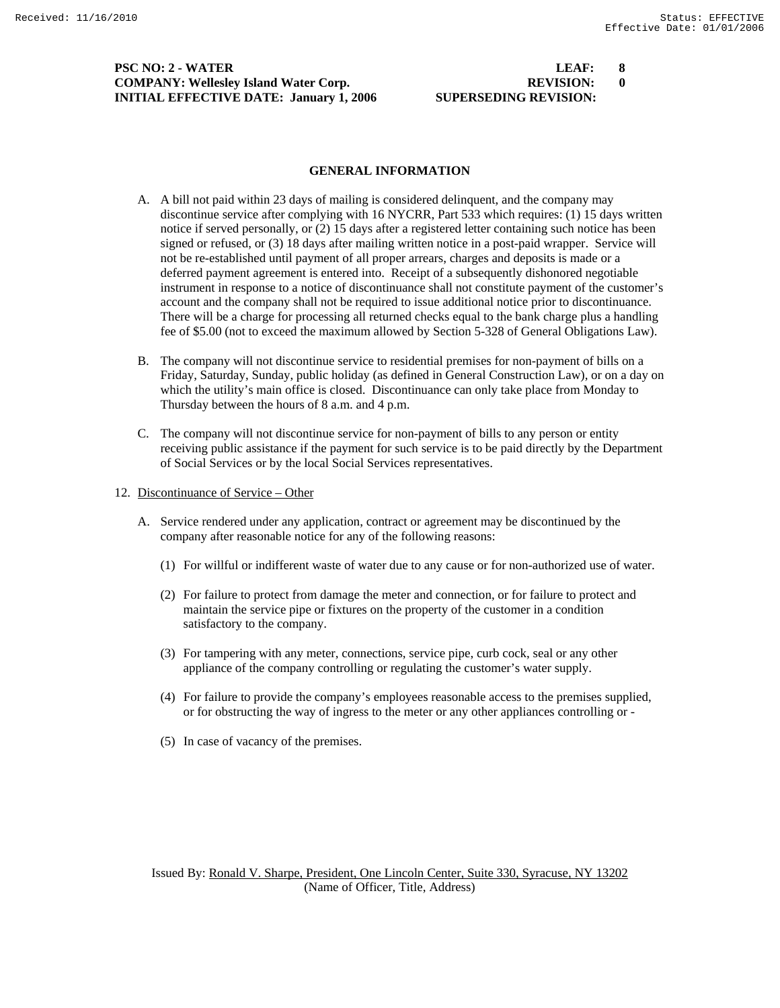**PSC NO: 2 - WATER LEAF: 8 COMPANY: Wellesley Island Water Corp. REVISION: 0 INITIAL EFFECTIVE DATE: January 1, 2006 SUPERSEDING REVISION:** 

#### **GENERAL INFORMATION**

- A. A bill not paid within 23 days of mailing is considered delinquent, and the company may discontinue service after complying with 16 NYCRR, Part 533 which requires: (1) 15 days written notice if served personally, or (2) 15 days after a registered letter containing such notice has been signed or refused, or (3) 18 days after mailing written notice in a post-paid wrapper. Service will not be re-established until payment of all proper arrears, charges and deposits is made or a deferred payment agreement is entered into. Receipt of a subsequently dishonored negotiable instrument in response to a notice of discontinuance shall not constitute payment of the customer's account and the company shall not be required to issue additional notice prior to discontinuance. There will be a charge for processing all returned checks equal to the bank charge plus a handling fee of \$5.00 (not to exceed the maximum allowed by Section 5-328 of General Obligations Law).
- B. The company will not discontinue service to residential premises for non-payment of bills on a Friday, Saturday, Sunday, public holiday (as defined in General Construction Law), or on a day on which the utility's main office is closed. Discontinuance can only take place from Monday to Thursday between the hours of 8 a.m. and 4 p.m.
- C. The company will not discontinue service for non-payment of bills to any person or entity receiving public assistance if the payment for such service is to be paid directly by the Department of Social Services or by the local Social Services representatives.
- 12. Discontinuance of Service Other
	- A. Service rendered under any application, contract or agreement may be discontinued by the company after reasonable notice for any of the following reasons:
		- (1) For willful or indifferent waste of water due to any cause or for non-authorized use of water.
		- (2) For failure to protect from damage the meter and connection, or for failure to protect and maintain the service pipe or fixtures on the property of the customer in a condition satisfactory to the company.
		- (3) For tampering with any meter, connections, service pipe, curb cock, seal or any other appliance of the company controlling or regulating the customer's water supply.
		- (4) For failure to provide the company's employees reasonable access to the premises supplied, or for obstructing the way of ingress to the meter or any other appliances controlling or -
		- (5) In case of vacancy of the premises.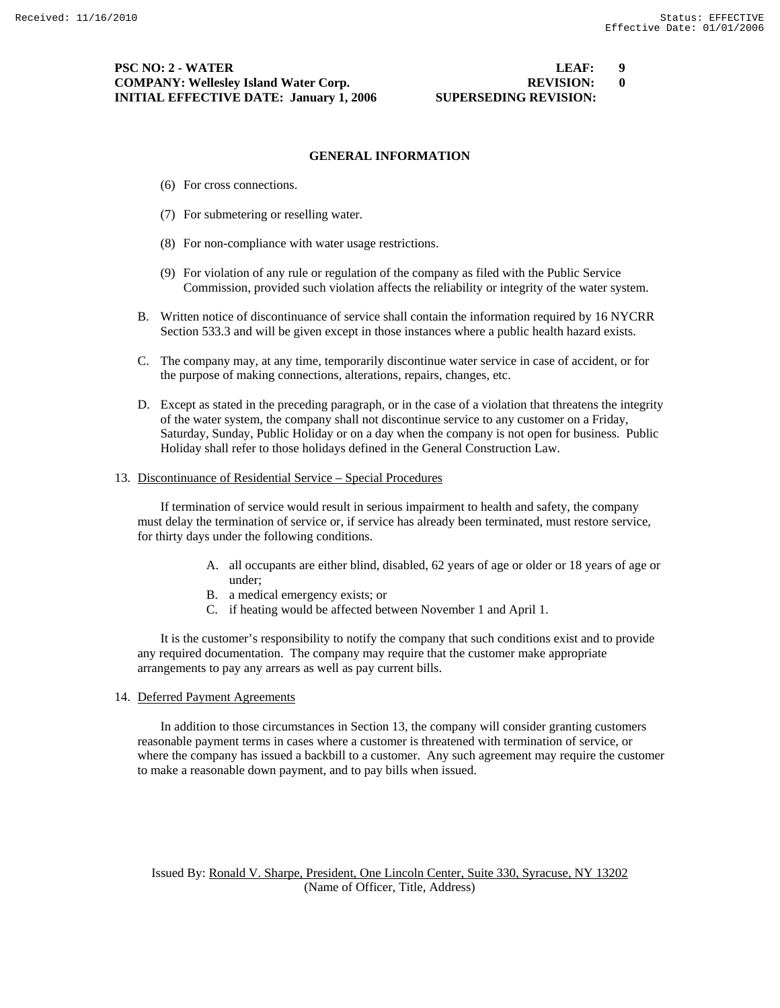#### **PSC NO: 2 - WATER LEAF: 9 COMPANY: Wellesley Island Water Corp. REVISION: 0 INITIAL EFFECTIVE DATE: January 1, 2006 SUPERSEDING REVISION:**

#### **GENERAL INFORMATION**

- (6) For cross connections.
- (7) For submetering or reselling water.
- (8) For non-compliance with water usage restrictions.
- (9) For violation of any rule or regulation of the company as filed with the Public Service Commission, provided such violation affects the reliability or integrity of the water system.
- B. Written notice of discontinuance of service shall contain the information required by 16 NYCRR Section 533.3 and will be given except in those instances where a public health hazard exists.
- C. The company may, at any time, temporarily discontinue water service in case of accident, or for the purpose of making connections, alterations, repairs, changes, etc.
- D. Except as stated in the preceding paragraph, or in the case of a violation that threatens the integrity of the water system, the company shall not discontinue service to any customer on a Friday, Saturday, Sunday, Public Holiday or on a day when the company is not open for business. Public Holiday shall refer to those holidays defined in the General Construction Law.

#### 13. Discontinuance of Residential Service – Special Procedures

 If termination of service would result in serious impairment to health and safety, the company must delay the termination of service or, if service has already been terminated, must restore service, for thirty days under the following conditions.

- A. all occupants are either blind, disabled, 62 years of age or older or 18 years of age or under;
- B. a medical emergency exists; or
- C. if heating would be affected between November 1 and April 1.

 It is the customer's responsibility to notify the company that such conditions exist and to provide any required documentation. The company may require that the customer make appropriate arrangements to pay any arrears as well as pay current bills.

14. Deferred Payment Agreements

 In addition to those circumstances in Section 13, the company will consider granting customers reasonable payment terms in cases where a customer is threatened with termination of service, or where the company has issued a backbill to a customer. Any such agreement may require the customer to make a reasonable down payment, and to pay bills when issued.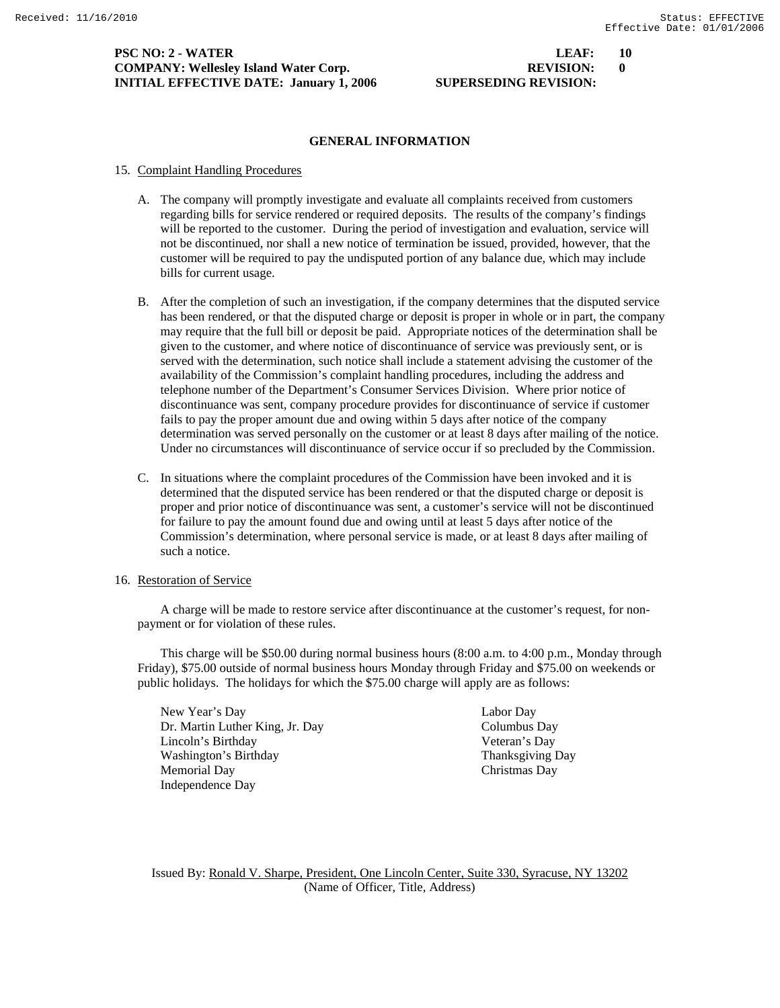#### **PSC NO: 2 - WATER LEAF: 10 COMPANY: Wellesley Island Water Corp. REVISION: 0 INITIAL EFFECTIVE DATE: January 1, 2006 SUPERSEDING REVISION:**

# **GENERAL INFORMATION**

# 15. Complaint Handling Procedures

- A. The company will promptly investigate and evaluate all complaints received from customers regarding bills for service rendered or required deposits. The results of the company's findings will be reported to the customer. During the period of investigation and evaluation, service will not be discontinued, nor shall a new notice of termination be issued, provided, however, that the customer will be required to pay the undisputed portion of any balance due, which may include bills for current usage.
- B. After the completion of such an investigation, if the company determines that the disputed service has been rendered, or that the disputed charge or deposit is proper in whole or in part, the company may require that the full bill or deposit be paid. Appropriate notices of the determination shall be given to the customer, and where notice of discontinuance of service was previously sent, or is served with the determination, such notice shall include a statement advising the customer of the availability of the Commission's complaint handling procedures, including the address and telephone number of the Department's Consumer Services Division. Where prior notice of discontinuance was sent, company procedure provides for discontinuance of service if customer fails to pay the proper amount due and owing within 5 days after notice of the company determination was served personally on the customer or at least 8 days after mailing of the notice. Under no circumstances will discontinuance of service occur if so precluded by the Commission.
- C. In situations where the complaint procedures of the Commission have been invoked and it is determined that the disputed service has been rendered or that the disputed charge or deposit is proper and prior notice of discontinuance was sent, a customer's service will not be discontinued for failure to pay the amount found due and owing until at least 5 days after notice of the Commission's determination, where personal service is made, or at least 8 days after mailing of such a notice.
- 16. Restoration of Service

 A charge will be made to restore service after discontinuance at the customer's request, for nonpayment or for violation of these rules.

 This charge will be \$50.00 during normal business hours (8:00 a.m. to 4:00 p.m., Monday through Friday), \$75.00 outside of normal business hours Monday through Friday and \$75.00 on weekends or public holidays. The holidays for which the \$75.00 charge will apply are as follows:

 New Year's Day Labor Day Dr. Martin Luther King, Jr. Day Columbus Day Lincoln's Birthday Veteran's Day Washington's Birthday Thanksgiving Day Memorial Day Christmas Day Independence Day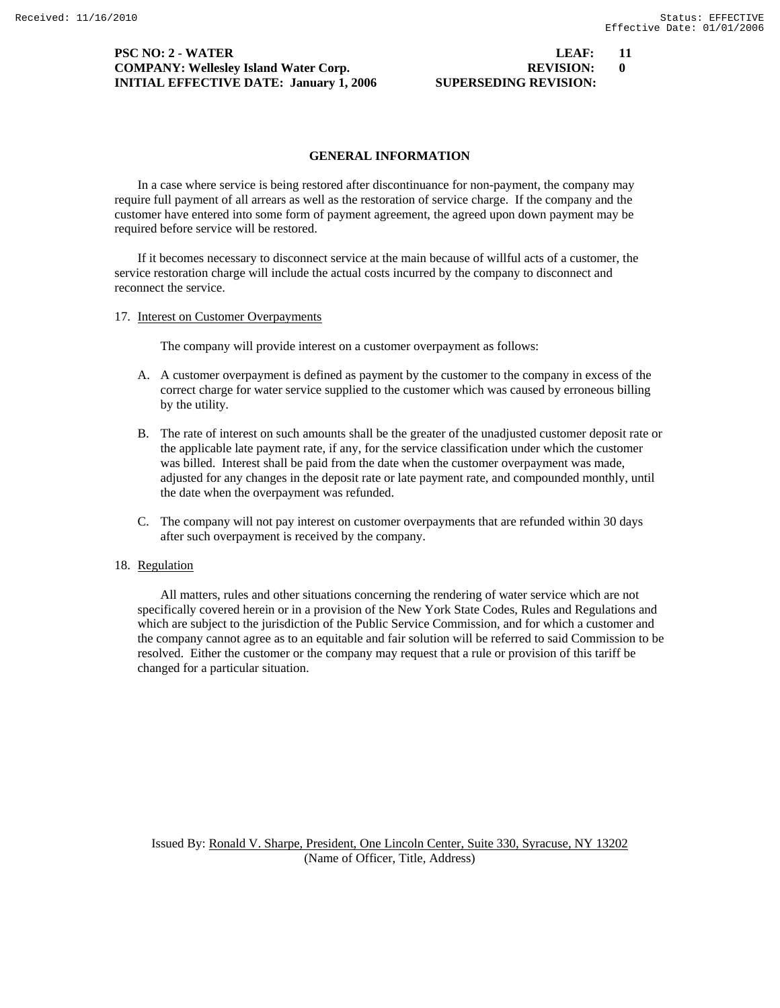#### **PSC NO: 2 - WATER LEAF: 11 COMPANY: Wellesley Island Water Corp. REVISION: 0 INITIAL EFFECTIVE DATE: January 1, 2006 SUPERSEDING REVISION:**

# **GENERAL INFORMATION**

 In a case where service is being restored after discontinuance for non-payment, the company may require full payment of all arrears as well as the restoration of service charge. If the company and the customer have entered into some form of payment agreement, the agreed upon down payment may be required before service will be restored.

 If it becomes necessary to disconnect service at the main because of willful acts of a customer, the service restoration charge will include the actual costs incurred by the company to disconnect and reconnect the service.

17. Interest on Customer Overpayments

The company will provide interest on a customer overpayment as follows:

- A. A customer overpayment is defined as payment by the customer to the company in excess of the correct charge for water service supplied to the customer which was caused by erroneous billing by the utility.
- B. The rate of interest on such amounts shall be the greater of the unadjusted customer deposit rate or the applicable late payment rate, if any, for the service classification under which the customer was billed. Interest shall be paid from the date when the customer overpayment was made, adjusted for any changes in the deposit rate or late payment rate, and compounded monthly, until the date when the overpayment was refunded.
- C. The company will not pay interest on customer overpayments that are refunded within 30 days after such overpayment is received by the company.

# 18. Regulation

 All matters, rules and other situations concerning the rendering of water service which are not specifically covered herein or in a provision of the New York State Codes, Rules and Regulations and which are subject to the jurisdiction of the Public Service Commission, and for which a customer and the company cannot agree as to an equitable and fair solution will be referred to said Commission to be resolved. Either the customer or the company may request that a rule or provision of this tariff be changed for a particular situation.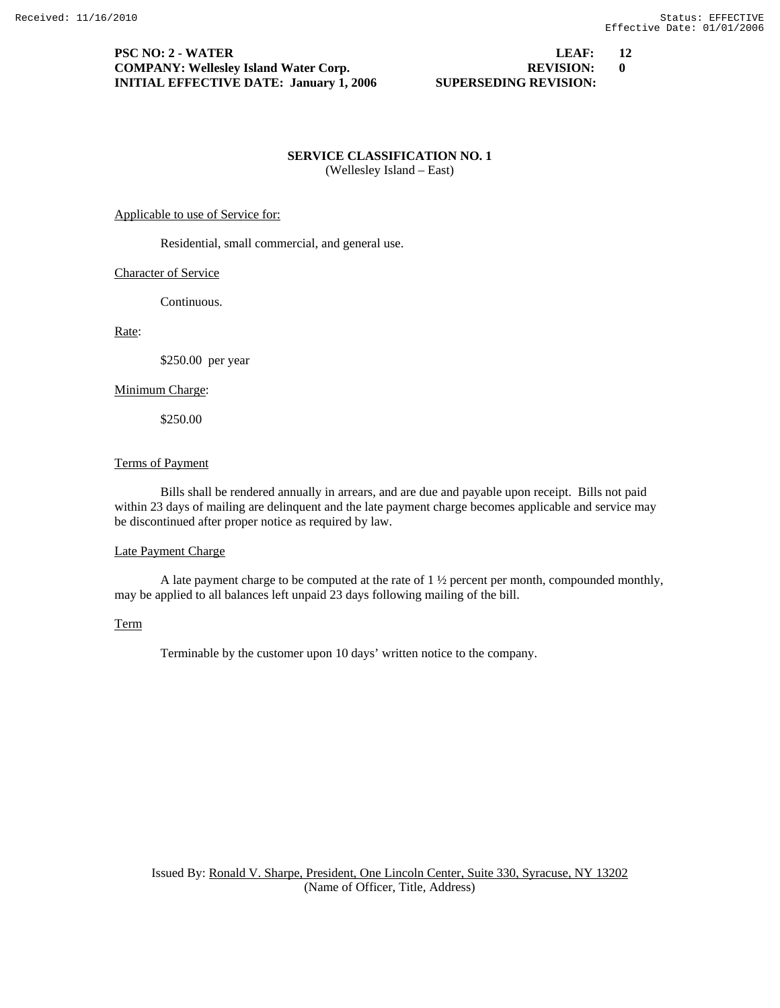#### **PSC NO: 2 - WATER LEAF: 12 COMPANY: Wellesley Island Water Corp. REVISION: 0 INITIAL EFFECTIVE DATE: January 1, 2006 SUPERSEDING REVISION:**

### **SERVICE CLASSIFICATION NO. 1**  (Wellesley Island – East)

#### Applicable to use of Service for:

Residential, small commercial, and general use.

#### Character of Service

Continuous.

Rate:

\$250.00 per year

#### Minimum Charge:

\$250.00

#### Terms of Payment

 Bills shall be rendered annually in arrears, and are due and payable upon receipt. Bills not paid within 23 days of mailing are delinquent and the late payment charge becomes applicable and service may be discontinued after proper notice as required by law.

#### Late Payment Charge

 A late payment charge to be computed at the rate of 1 ½ percent per month, compounded monthly, may be applied to all balances left unpaid 23 days following mailing of the bill.

#### Term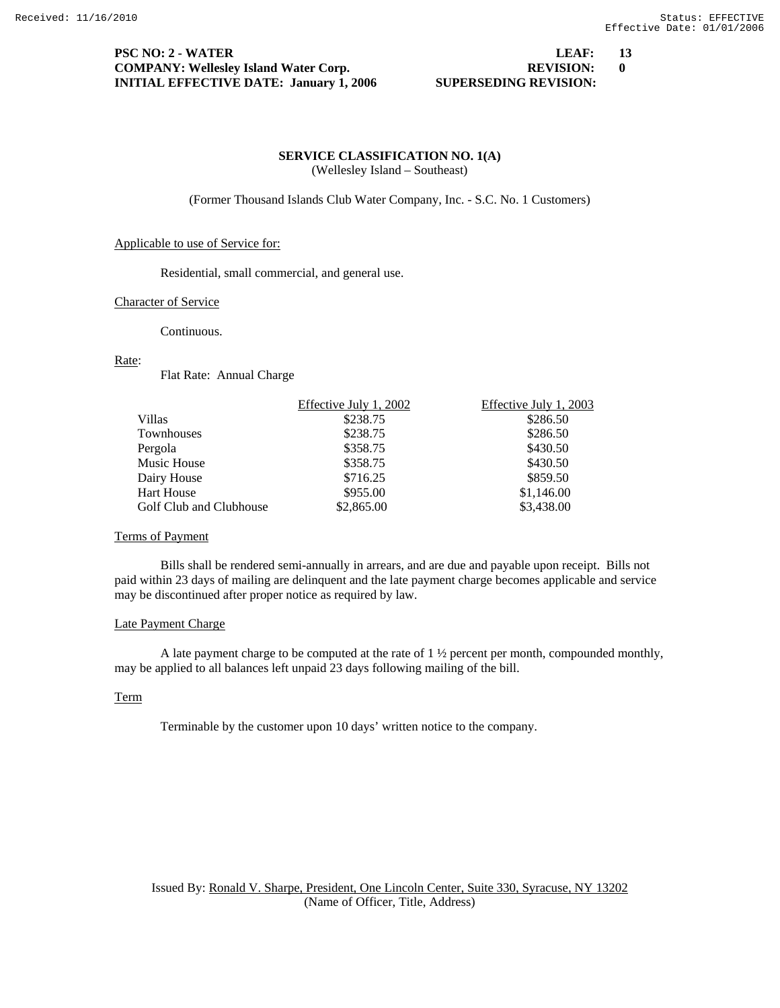#### **PSC NO: 2 - WATER LEAF: 13 COMPANY: Wellesley Island Water Corp. REVISION: 0 INITIAL EFFECTIVE DATE: January 1, 2006 SUPERSEDING REVISION:**

#### **SERVICE CLASSIFICATION NO. 1(A)**  (Wellesley Island – Southeast)

(Former Thousand Islands Club Water Company, Inc. - S.C. No. 1 Customers)

#### Applicable to use of Service for:

Residential, small commercial, and general use.

#### Character of Service

Continuous.

#### Rate:

Flat Rate: Annual Charge

| Effective July 1, 2002 | Effective July 1, 2003 |
|------------------------|------------------------|
| \$238.75               | \$286.50               |
| \$238.75               | \$286.50               |
| \$358.75               | \$430.50               |
| \$358.75               | \$430.50               |
| \$716.25               | \$859.50               |
| \$955.00               | \$1,146.00             |
| \$2,865.00             | \$3,438.00             |
|                        |                        |

#### Terms of Payment

 Bills shall be rendered semi-annually in arrears, and are due and payable upon receipt. Bills not paid within 23 days of mailing are delinquent and the late payment charge becomes applicable and service may be discontinued after proper notice as required by law.

#### Late Payment Charge

 A late payment charge to be computed at the rate of 1 ½ percent per month, compounded monthly, may be applied to all balances left unpaid 23 days following mailing of the bill.

#### Term

Terminable by the customer upon 10 days' written notice to the company.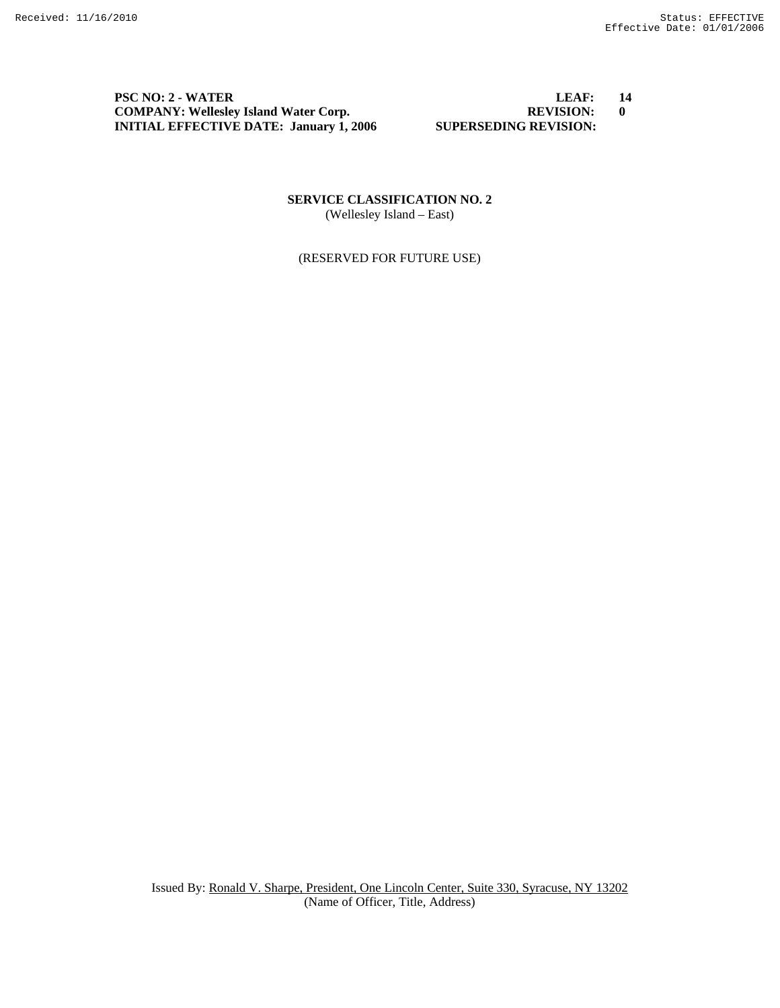**PSC NO: 2 - WATER** LEAF: 14<br> **COMPANY:** Wellesley Island Water Corp. **EXAMPANY:** REVISION: 0 **COMPANY: Wellesley Island Water Corp.** REVISION: **REVISION: INITIAL EFFECTIVE DATE:** January 1, 2006 **SUPERSEDING REVISION: INITIAL EFFECTIVE DATE: January 1, 2006** 

**SERVICE CLASSIFICATION NO. 2**  (Wellesley Island – East)

(RESERVED FOR FUTURE USE)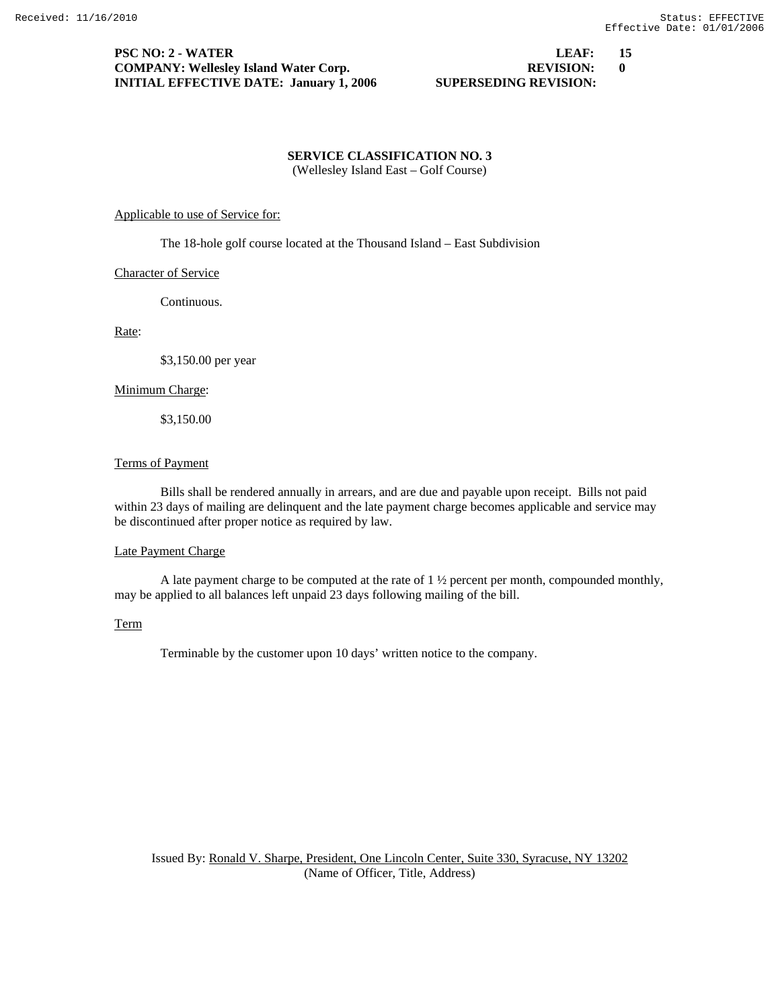#### **PSC NO: 2 - WATER LEAF: 15 COMPANY: Wellesley Island Water Corp. REVISION: 0 INITIAL EFFECTIVE DATE: January 1, 2006 SUPERSEDING REVISION:**

#### **SERVICE CLASSIFICATION NO. 3**  (Wellesley Island East – Golf Course)

#### Applicable to use of Service for:

The 18-hole golf course located at the Thousand Island – East Subdivision

#### Character of Service

Continuous.

#### Rate:

\$3,150.00 per year

#### Minimum Charge:

\$3,150.00

#### Terms of Payment

 Bills shall be rendered annually in arrears, and are due and payable upon receipt. Bills not paid within 23 days of mailing are delinquent and the late payment charge becomes applicable and service may be discontinued after proper notice as required by law.

#### Late Payment Charge

 A late payment charge to be computed at the rate of 1 ½ percent per month, compounded monthly, may be applied to all balances left unpaid 23 days following mailing of the bill.

#### Term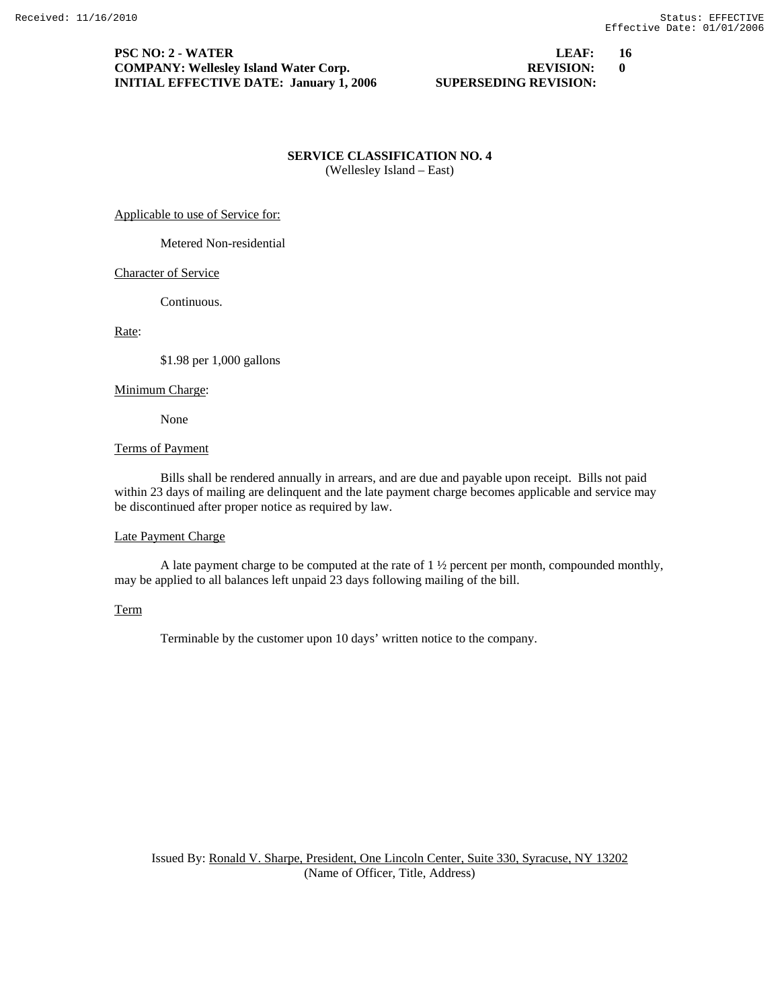#### **PSC NO: 2 - WATER LEAF: 16 COMPANY: Wellesley Island Water Corp. REVISION: 0 INITIAL EFFECTIVE DATE: January 1, 2006 SUPERSEDING REVISION:**

#### **SERVICE CLASSIFICATION NO. 4**  (Wellesley Island – East)

Applicable to use of Service for:

Metered Non-residential

#### Character of Service

Continuous.

#### Rate:

\$1.98 per 1,000 gallons

#### Minimum Charge:

None

#### Terms of Payment

 Bills shall be rendered annually in arrears, and are due and payable upon receipt. Bills not paid within 23 days of mailing are delinquent and the late payment charge becomes applicable and service may be discontinued after proper notice as required by law.

#### Late Payment Charge

 A late payment charge to be computed at the rate of 1 ½ percent per month, compounded monthly, may be applied to all balances left unpaid 23 days following mailing of the bill.

### Term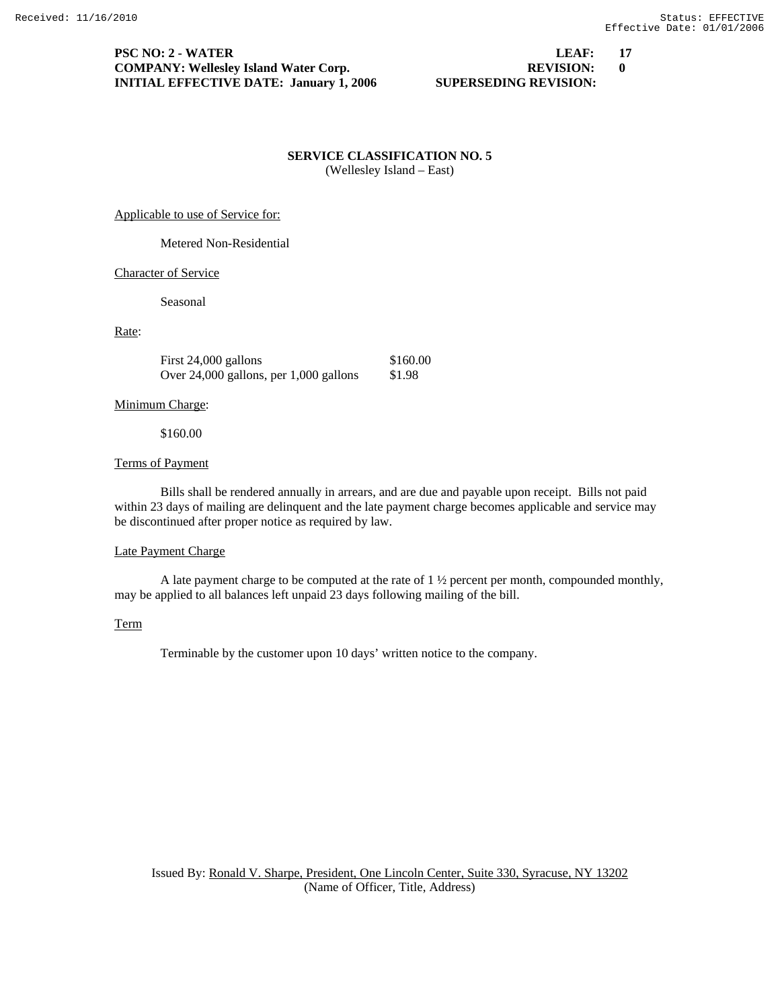#### **PSC NO: 2 - WATER LEAF: 17 COMPANY: Wellesley Island Water Corp. REVISION: 0 INITIAL EFFECTIVE DATE: January 1, 2006 SUPERSEDING REVISION:**

#### **SERVICE CLASSIFICATION NO. 5**  (Wellesley Island – East)

Applicable to use of Service for:

Metered Non-Residential

#### Character of Service

Seasonal

#### Rate:

First 24,000 gallons \$160.00 Over 24,000 gallons, per 1,000 gallons \$1.98

#### Minimum Charge:

\$160.00

#### Terms of Payment

 Bills shall be rendered annually in arrears, and are due and payable upon receipt. Bills not paid within 23 days of mailing are delinquent and the late payment charge becomes applicable and service may be discontinued after proper notice as required by law.

#### Late Payment Charge

 A late payment charge to be computed at the rate of 1 ½ percent per month, compounded monthly, may be applied to all balances left unpaid 23 days following mailing of the bill.

#### Term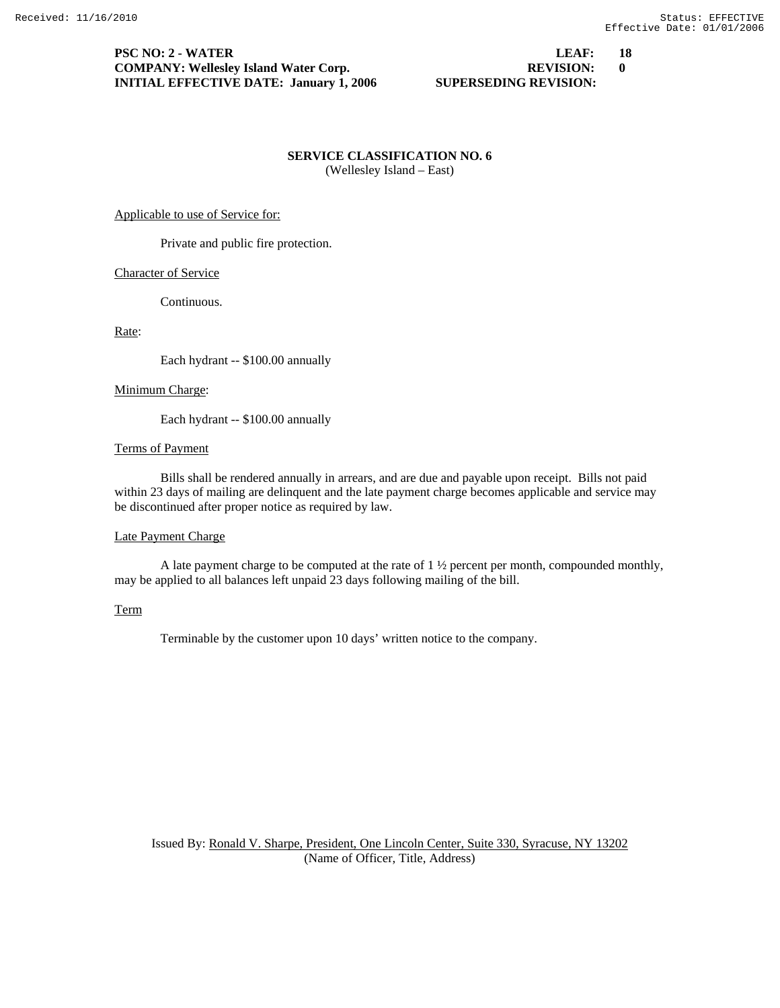#### **PSC NO: 2 - WATER LEAF: 18 COMPANY: Wellesley Island Water Corp. REVISION: 0 INITIAL EFFECTIVE DATE: January 1, 2006 SUPERSEDING REVISION:**

**SERVICE CLASSIFICATION NO. 6**  (Wellesley Island – East)

#### Applicable to use of Service for:

Private and public fire protection.

#### Character of Service

Continuous.

Rate:

Each hydrant -- \$100.00 annually

#### Minimum Charge:

Each hydrant -- \$100.00 annually

#### Terms of Payment

 Bills shall be rendered annually in arrears, and are due and payable upon receipt. Bills not paid within 23 days of mailing are delinquent and the late payment charge becomes applicable and service may be discontinued after proper notice as required by law.

#### Late Payment Charge

 A late payment charge to be computed at the rate of 1 ½ percent per month, compounded monthly, may be applied to all balances left unpaid 23 days following mailing of the bill.

### Term

Terminable by the customer upon 10 days' written notice to the company.